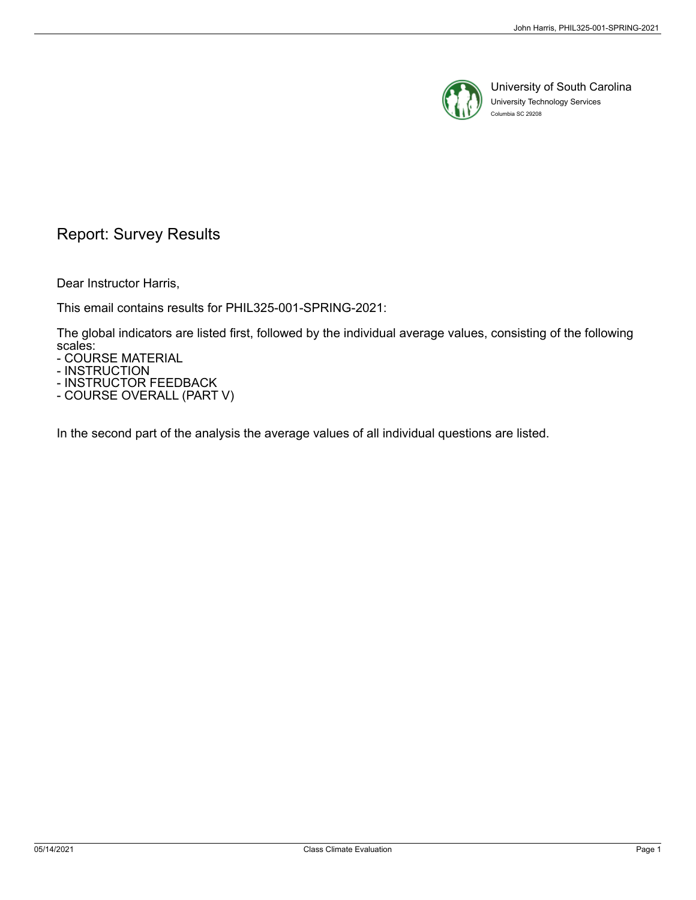

University of South Carolina University Technology Services Columbia SC 29208

## Report: Survey Results

Dear Instructor Harris,

This email contains results for PHIL325-001-SPRING-2021:

The global indicators are listed first, followed by the individual average values, consisting of the following scales:

- COURSE MATERIAL

- INSTRUCTION

- INSTRUCTOR FEEDBACK

- COURSE OVERALL (PART V)

In the second part of the analysis the average values of all individual questions are listed.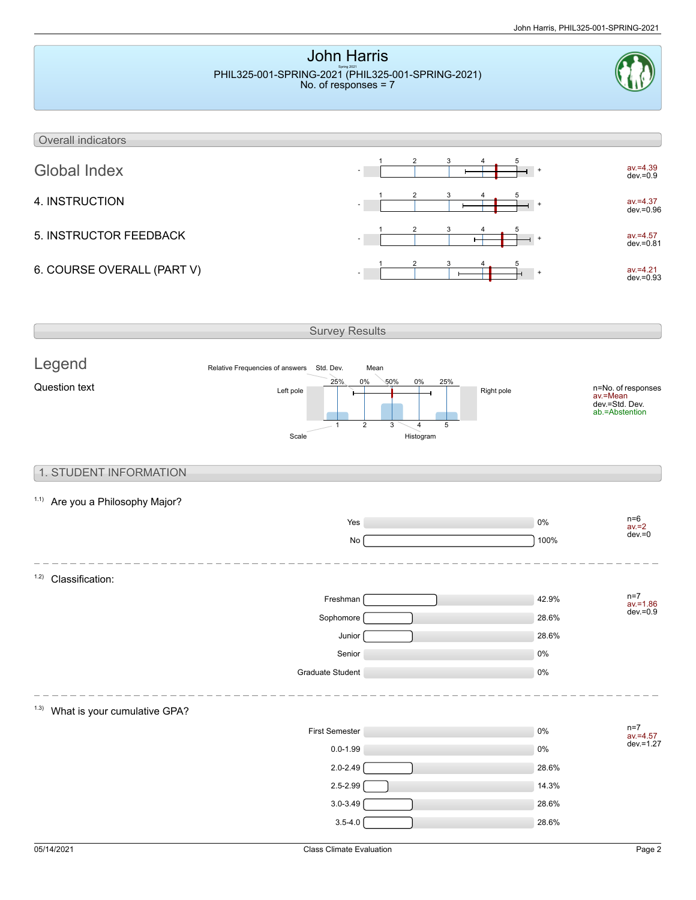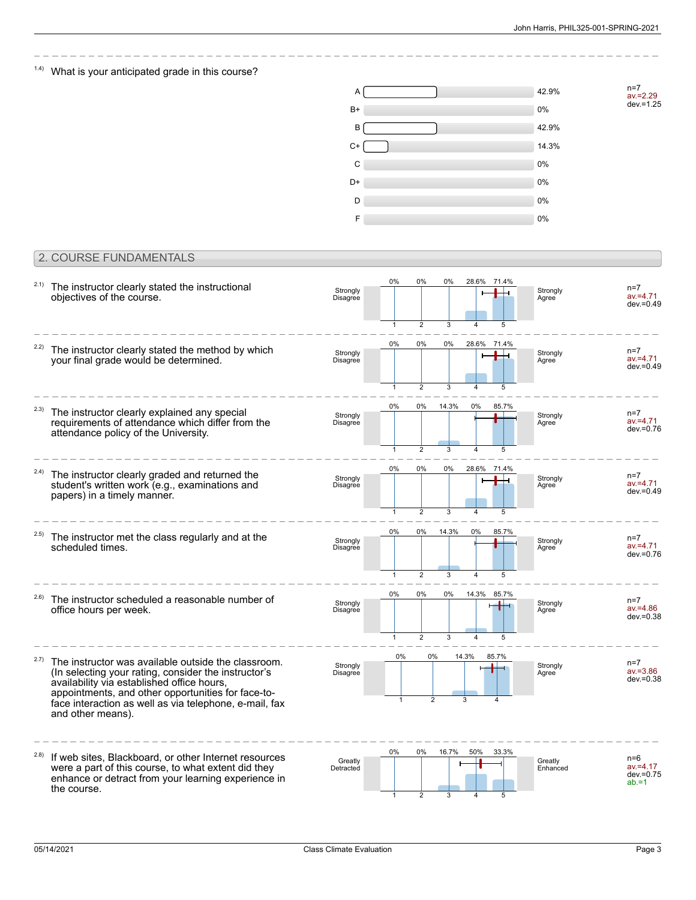n=7 av.=2.29 dev.=1.25

### $1.4$ ) What is your anticipated grade in this course?



#### 2. COURSE FUNDAMENTALS

| 2.1)  | The instructor clearly stated the instructional<br>objectives of the course.                                                                                                                                                                                                                   | Strongly<br>Disagree | 0%                 | 0%                   | 0%             |                                  | 28.6% 71.4% | Strongly<br>Agree   | $n=7$<br>$av = 4.71$<br>$dev = 0.49$             |
|-------|------------------------------------------------------------------------------------------------------------------------------------------------------------------------------------------------------------------------------------------------------------------------------------------------|----------------------|--------------------|----------------------|----------------|----------------------------------|-------------|---------------------|--------------------------------------------------|
| 2.2)  | The instructor clearly stated the method by which<br>your final grade would be determined.                                                                                                                                                                                                     | Strongly<br>Disagree | $\mathbf{1}$<br>0% | $\overline{2}$<br>0% | 3<br>0%        |                                  | 28.6% 71.4% | Strongly<br>Agree   | $n=7$<br>$av = 4.71$<br>$dev = 0.49$             |
|       |                                                                                                                                                                                                                                                                                                |                      | 1                  | $\mathfrak{p}$       | 3              |                                  | 5           |                     |                                                  |
| (2.3) | The instructor clearly explained any special<br>requirements of attendance which differ from the<br>attendance policy of the University.                                                                                                                                                       | Strongly<br>Disagree | 0%                 | 0%                   | 14.3%          | 0%                               | 85.7%       | Strongly<br>Agree   | $n=7$<br>$av = 4.71$<br>$dev = 0.76$             |
|       |                                                                                                                                                                                                                                                                                                |                      |                    | $\overline{2}$       | 3              |                                  |             |                     |                                                  |
| 2.4)  | The instructor clearly graded and returned the<br>student's written work (e.g., examinations and<br>papers) in a timely manner.                                                                                                                                                                | Strongly<br>Disagree | 0%                 | 0%                   | 0%             | 28.6%                            | 71.4%       | Strongly<br>Agree   | $n=7$<br>$av = 4.71$<br>$dev = 0.49$             |
|       |                                                                                                                                                                                                                                                                                                |                      | 1                  | $\mathfrak{p}$       | 3              |                                  |             |                     |                                                  |
| 2.5)  | The instructor met the class regularly and at the<br>scheduled times.                                                                                                                                                                                                                          | Strongly<br>Disagree | 0%                 | 0%                   | 14.3%          | 0%                               | 85.7%       | Strongly<br>Agree   | $n=7$<br>$av = 4.71$<br>$dev = 0.76$             |
|       |                                                                                                                                                                                                                                                                                                |                      |                    | $\overline{2}$       | 3              | $\overline{4}$                   | 5           |                     |                                                  |
| 2.6)  | The instructor scheduled a reasonable number of<br>office hours per week.                                                                                                                                                                                                                      | Strongly<br>Disagree | 0%                 | 0%<br>$\overline{2}$ | 0%<br>3        | 14.3%<br>$\overline{\mathbf{A}}$ | 85.7%       | Strongly<br>Agree   | $n=7$<br>$av = 4.86$<br>$dev = 0.38$             |
| 2.7)  | The instructor was available outside the classroom.<br>(In selecting your rating, consider the instructor's<br>availability via established office hours,<br>appointments, and other opportunities for face-to-<br>face interaction as well as via telephone, e-mail, fax<br>and other means). | Strongly<br>Disagree | 0%                 | 0%                   | $\overline{2}$ | 14.3%                            | 85.7%       | Strongly<br>Agree   | $n=7$<br>$av = 3.86$<br>$dev = 0.38$             |
| (2.8) | If web sites, Blackboard, or other Internet resources<br>were a part of this course, to what extent did they<br>enhance or detract from your learning experience in<br>the course.                                                                                                             | Greatly<br>Detracted | 0%<br>1            | 0%<br>$\overline{2}$ | 16.7%<br>3     | 50%<br>$\overline{\mathbf{A}}$   | 33.3%<br>5  | Greatly<br>Enhanced | $n=6$<br>$av = 4.17$<br>$dev = 0.75$<br>$ab = 1$ |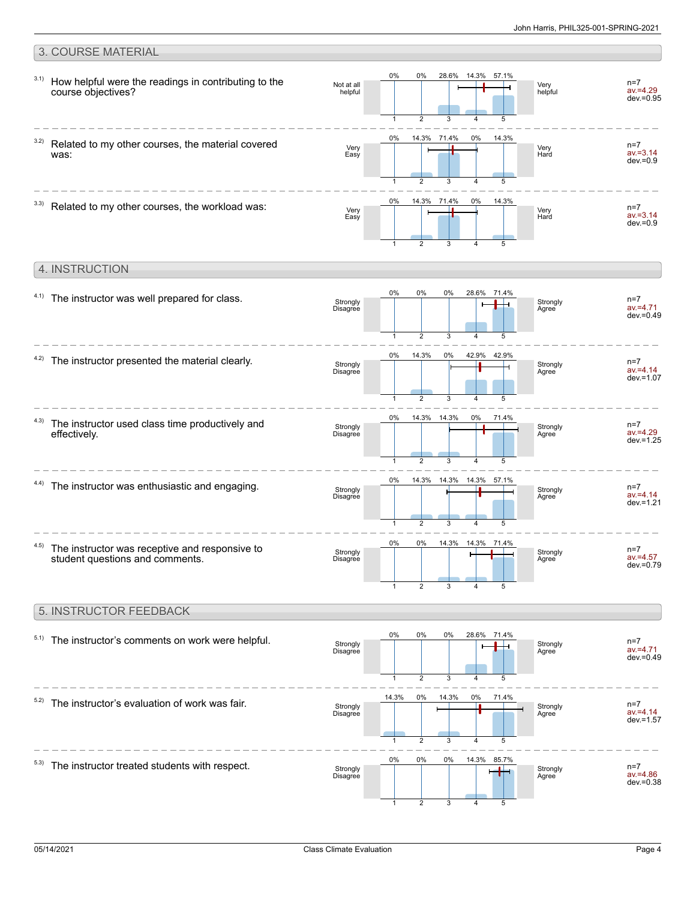#### 3. COURSE MATERIAL 0% 28.6% 0% 14.3% 57.1% 3.1) How helpful were the readings in contributing to the  $n=7$ Not at all Very helpful av.=4.29 course objectives? helpful dev.=0.95 3 5  $\mathfrak{D}$ 1 4 0% 0% 14.3% 71.4% 14.3% 3.2) Related to my other courses, the material covered n=7 Very Very Hard av.=3.14 was: Easy  $dev = 0.9$ 3  $\overline{A}$ 5 1 2  $\frac{1}{2}$ 14.3% 71.4% 0% 0% 14.3%  $3.3)$  Related to my other courses, the workload was: n=7 Very Easy Very Hard av.=3.14  $dev = 0.9$ 3 5 1 2 4 4. INSTRUCTION 0% 0% 0% 28.6% 71.4%  $4.1)$  The instructor was well prepared for class. n=7 ட Strongly Disagree Strongly Agree av.=4.71  $dev = 0.49$ 5 1 2 3 4 0% 14.3% 0% 42.9% 42.9%  $4.2$ ) The instructor presented the material clearly. n=7 av.=4.14  $\overline{a}$ Strongly Disagree Strongly Agree dev.=1.07  $\overline{2}$ 3 4 5 1 0% 14.3% 14.3% 0% 71.4% 4.3) The instructor used class time productively and  $n=7$ Strongly Disagree Strongly Agree av.=4.29 effectively. dev.=1.25 5 3 5 4 1 0% 14.3% 14.3% 57.1% 14.3% 4.4) The instructor was enthusiastic and engaging.  $n=7$ Strongly Strongly av.=4.14 Disagree Agree  $d$ ev =1.21  $\overline{2}$ 3  $\overline{4}$ 5 1 0% 0% 14.3% 14.3% 71.4% 4.5) The instructor was receptive and responsive to n=7 **Strongly** Strongly Disagree av.=4.57 student questions and comments. Agree dev.=0.79 2 3 4 5 1

#### 5. INSTRUCTOR FEEDBACK

| 5.1) | The instructor's comments on work were helpful. | Strongly<br>Disagree | 0%    | 0%<br>2                   | 0%<br>3      | 4      | 28.6% 71.4%<br>5      | Strongly<br>Agree | $n=7$<br>$av = 4.71$<br>$dev = 0.49$ |
|------|-------------------------------------------------|----------------------|-------|---------------------------|--------------|--------|-----------------------|-------------------|--------------------------------------|
| 5.2) | The instructor's evaluation of work was fair.   | Strongly<br>Disagree | 14.3% | 0%                        | 14.3%        | 0%     | 71.4%                 | Strongly<br>Agree | $n=7$<br>$av = 4.14$<br>$dev = 1.57$ |
| 5.3) | The instructor treated students with respect.   | Strongly<br>Disagree | 0%    | $\overline{2}$<br>0%<br>2 | 3<br>0%<br>3 | 4<br>4 | 5<br>14.3% 85.7%<br>5 | Strongly<br>Agree | $n=7$<br>$av = 4.86$<br>$dev = 0.38$ |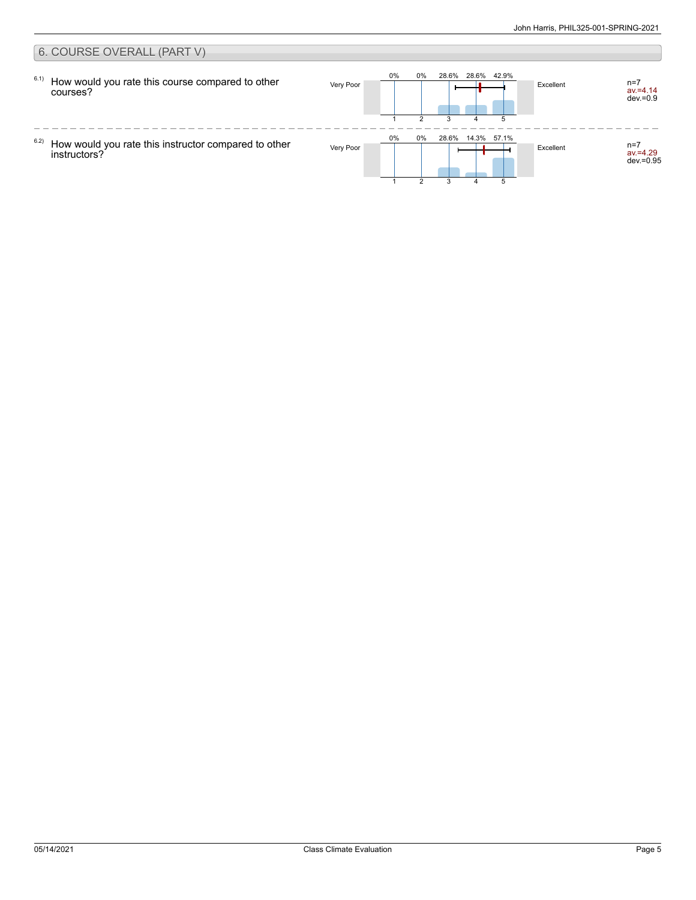#### 6. COURSE OVERALL (PART V) 0% 0% 28.6% 28.6% 42.9% 6.1) How would you rate this course compared to other Very Poor **The Human Human Human Human Human Excellent** av.=4.14 dev.=0.9 courses? 1 2 3 5 4  $\frac{1}{2}$  $- - - -$ 0% 0% 28.6% 14.3% 57.1% 6.2) How would you rate this instructor compared to other Very Poor **Acceleration Contact Contact Contact Contact Contact Contact Contact Contact Contact Contact Contact Contact Contact Contact Contact Contact Contact Contact Contact Contact Contact Contact Contact Contact Contac** av.=4.29 dev.=0.95 instructors? 3 51 2 4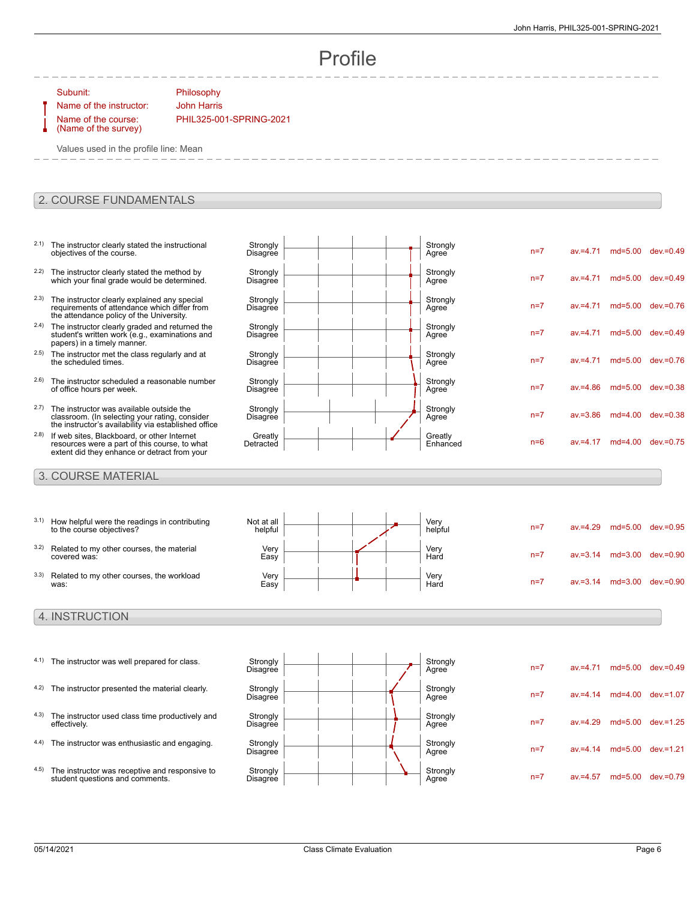n=7 av.=4.71 md=5.00 dev.=0.49

n=7 av.=4.71 md=5.00 dev.=0.49

n=7 av.=4.71 md=5.00 dev.=0.76

n=7 av.=4.71 md=5.00 dev.=0.49

n=7 av.=4.71 md=5.00 dev.=0.76

n=7 av.=4.86 md=5.00 dev.=0.38

n=7 av.=3.86 md=4.00 dev.=0.38

 $n=6$  av $=4.17$  md=4.00 dev $=0.75$ 

# Profile

Strongly<br>Agree

Strongly<br>Agree

Strongly<br>Agree

Strongly<br>Agree

Strongly<br>Agree

Strongly<br>Agree

Strongly<br>Agree

Greatly<br>Enhanced

Subunit: Philosophy

Name of the course: (Name of the survey)

Name of the instructor: John Harris PHIL325-001-SPRING-2021

> **Strongly** Disagree

**Strongly** Disagree

Strongly **Disagree** 

**Strongly Disagree** 

**Strongly Disagree** 

**Strongly Disagree** 

**Strongly Disagree** 

**Greatly** Detracted

Values used in the profile line: Mean

#### 2. COURSE FUNDAMENTALS

- 2.1) The instructor clearly stated the instructional objectives of the course.
- <sup>2.2)</sup> The instructor clearly stated the method by which your final grade would be determined.
- 2.3) The instructor clearly explained any special requirements of attendance which differ from the attendance policy of the University.
- <sup>2.4)</sup> The instructor clearly graded and returned the student's written work (e.g., examinations and papers) in a timely manner.
- 2.5) The instructor met the class regularly and at the scheduled times.
- 2.6) The instructor scheduled a reasonable number of office hours per week.
- 2.7) The instructor was available outside the classroom. (In selecting your rating, consider the instructor's availability via established office
- 2.8) If web sites, Blackboard, or other Internet resources were a part of this course, to what extent did they enhance or detract from your

#### 3. COURSE MATERIAL

|      | 3.1) How helpful were the readings in contributing<br>to the course objectives? | Not at all<br>helpful |  | Very<br>helpful | $n=7$ | $av = 4.29$ | $md=5.00$   | dev.=0.95 |
|------|---------------------------------------------------------------------------------|-----------------------|--|-----------------|-------|-------------|-------------|-----------|
| 3.2) | Related to my other courses, the material<br>covered was:                       | Very<br>Easy          |  | Very<br>Hard    | $n=7$ | $av = 3.14$ | $md=3.00$   | dev.=0.90 |
| 3.3) | Related to my other courses, the workload<br>was:                               | Very<br>Easy          |  | Very<br>Hard    | $n=7$ | $av = 3.14$ | $md = 3.00$ | dev.=0.90 |

#### 4. INSTRUCTION

- 4.1) The instructor was well prepared for class. Strongly
- 4.2) The instructor presented the material clearly. Strongly
- 4.3) The instructor used class time productively and effectively.
- 4.4) The instructor was enthusiastic and engaging. Strongly
- 4.5) The instructor was receptive and responsive to student questions and comments.



| Strongly<br>Agree | $n=7$ | $av = 4.71$ | $md=5.00$   | $dev = 0.49$ |
|-------------------|-------|-------------|-------------|--------------|
| Strongly<br>Agree | $n=7$ | $av = 4.14$ | $md=4.00$   | $dev = 1.07$ |
| Strongly<br>Agree | $n=7$ | $av = 4.29$ | $md=5.00$   | $dev = 1.25$ |
| Strongly<br>Agree | $n=7$ | $av = 4.14$ | $md = 5.00$ | $dev = 1.21$ |
| Strongly<br>Agree | $n=7$ | $av = 4.57$ | $md=5.00$   | dev.=0.79    |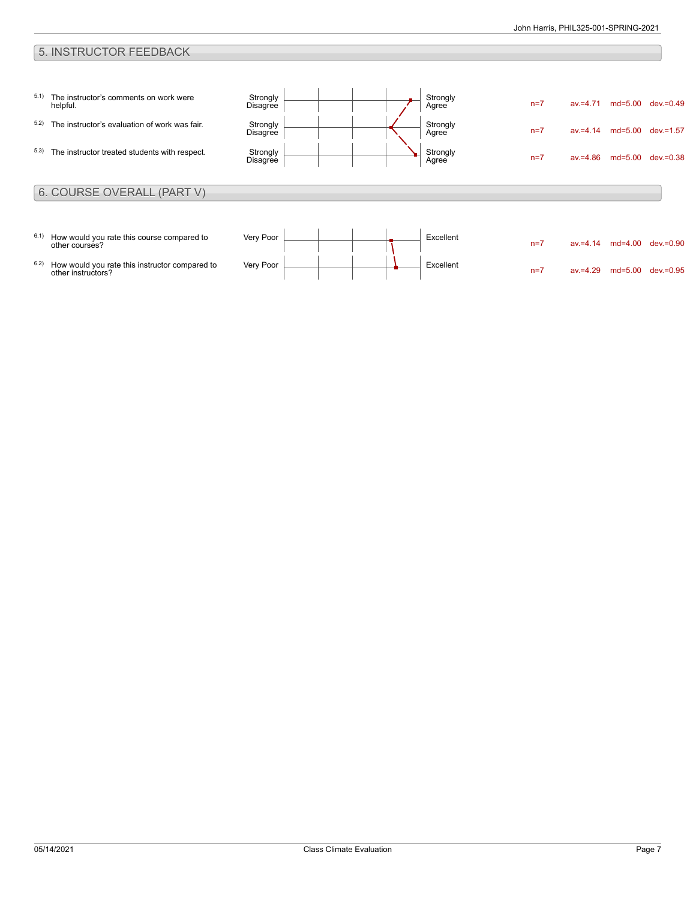### 5. INSTRUCTOR FEEDBACK

| 5.1) | The instructor's comments on work were<br>helpful.           | Strongly<br><b>Disagree</b> |  | Strongly<br>Agree | $n=7$ | $av = 4.71$ | $md=5.00$ | dev.=0.49 |
|------|--------------------------------------------------------------|-----------------------------|--|-------------------|-------|-------------|-----------|-----------|
| 5.2) | The instructor's evaluation of work was fair.                | Strongly<br>Disagree        |  | Strongly<br>Agree | $n=7$ | $av = 4.14$ | $md=5.00$ | dev.=1.57 |
| 5.3) | The instructor treated students with respect.                | Strongly<br>Disagree        |  | Strongly<br>Agree | $n=7$ | $av = 4.86$ | md=5.00   | dev.=0.38 |
|      | 6. COURSE OVERALL (PART V)                                   |                             |  |                   |       |             |           |           |
|      |                                                              |                             |  |                   |       |             |           |           |
| 6.1) | How would you rate this course compared to<br>other courses? | Very Poor                   |  | Excellent         | $n=7$ | $av = 4.14$ | $md=4.00$ | dev.=0.90 |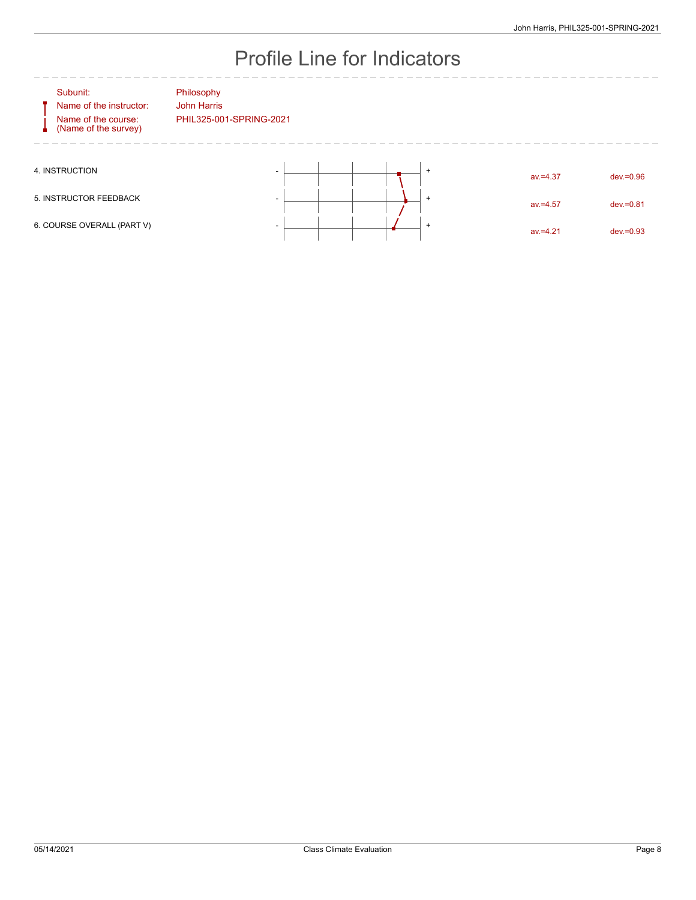# Profile Line for Indicators